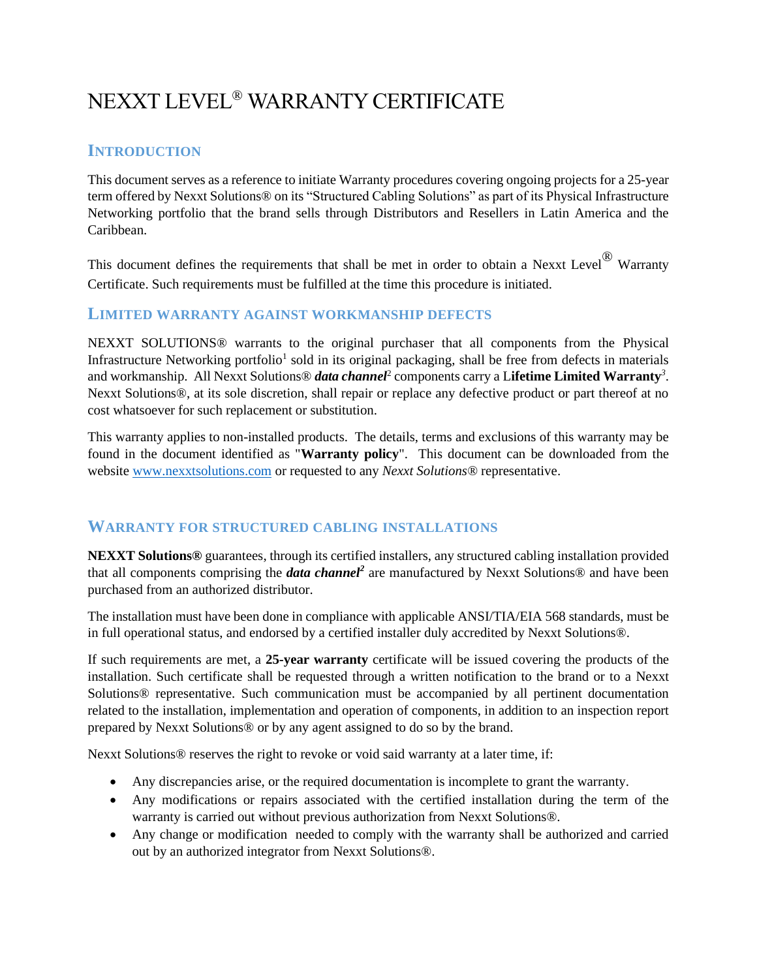# NEXXT LEVEL® WARRANTY CERTIFICATE

## **INTRODUCTION**

This document serves as a reference to initiate Warranty procedures covering ongoing projects for a 25-year term offered by Nexxt Solutions® on its "Structured Cabling Solutions" as part of its Physical Infrastructure Networking portfolio that the brand sells through Distributors and Resellers in Latin America and the Caribbean.

This document defines the requirements that shall be met in order to obtain a Nexxt Level<sup>®</sup> Warranty Certificate. Such requirements must be fulfilled at the time this procedure is initiated.

#### **LIMITED WARRANTY AGAINST WORKMANSHIP DEFECTS**

NEXXT SOLUTIONS® warrants to the original purchaser that all components from the Physical Infrastructure Networking portfolio<sup>1</sup> sold in its original packaging, shall be free from defects in materials and workmanship. All Nexxt Solutions® *data channel*<sup>2</sup> components carry a L**ifetime Limited Warranty***<sup>3</sup>* . Nexxt Solutions®, at its sole discretion, shall repair or replace any defective product or part thereof at no cost whatsoever for such replacement or substitution.

This warranty applies to non-installed products. The details, terms and exclusions of this warranty may be found in the document identified as "**Warranty policy**". This document can be downloaded from the website [www.nexxtsolutions.com](http://www.nexxtsolutions.com/) or requested to any *Nexxt Solutions®* representative.

### **WARRANTY FOR STRUCTURED CABLING INSTALLATIONS**

**NEXXT Solutions®** guarantees, through its certified installers, any structured cabling installation provided that all components comprising the *data channel<sup>2</sup>* are manufactured by Nexxt Solutions® and have been purchased from an authorized distributor.

The installation must have been done in compliance with applicable ANSI/TIA/EIA 568 standards, must be in full operational status, and endorsed by a certified installer duly accredited by Nexxt Solutions®.

If such requirements are met, a **25-year warranty** certificate will be issued covering the products of the installation. Such certificate shall be requested through a written notification to the brand or to a Nexxt Solutions® representative. Such communication must be accompanied by all pertinent documentation related to the installation, implementation and operation of components, in addition to an inspection report prepared by Nexxt Solutions® or by any agent assigned to do so by the brand.

Nexxt Solutions® reserves the right to revoke or void said warranty at a later time, if:

- Any discrepancies arise, or the required documentation is incomplete to grant the warranty.
- Any modifications or repairs associated with the certified installation during the term of the warranty is carried out without previous authorization from Nexxt Solutions®.
- Any change or modification needed to comply with the warranty shall be authorized and carried out by an authorized integrator from Nexxt Solutions®.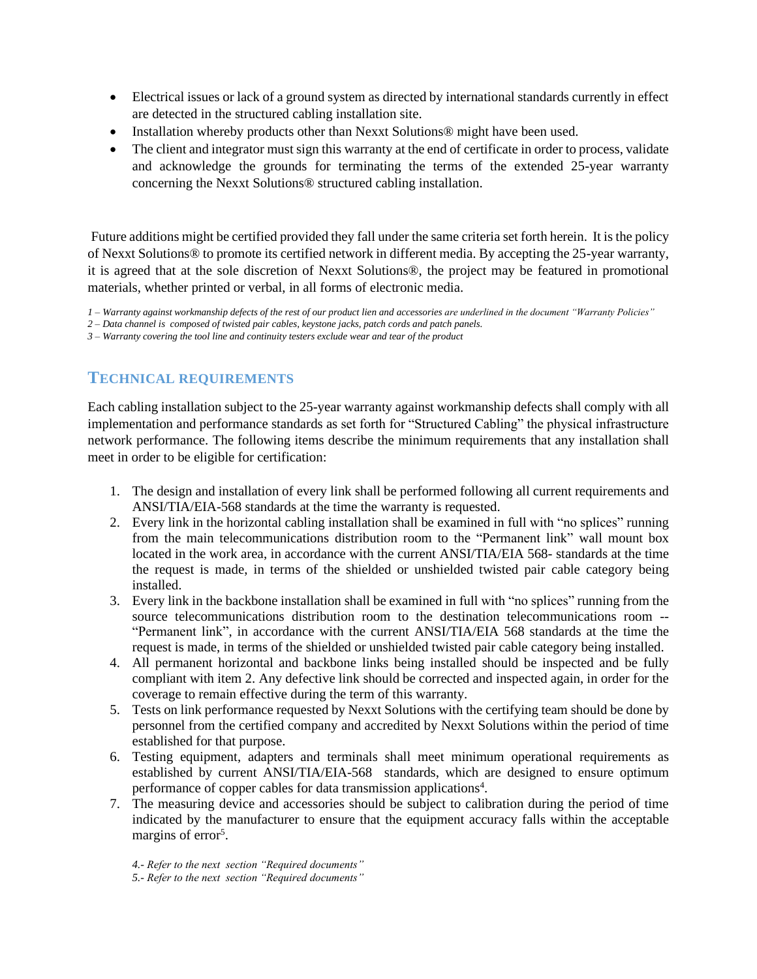- Electrical issues or lack of a ground system as directed by international standards currently in effect are detected in the structured cabling installation site.
- Installation whereby products other than Nexxt Solutions<sup>®</sup> might have been used.
- The client and integrator must sign this warranty at the end of certificate in order to process, validate and acknowledge the grounds for terminating the terms of the extended 25-year warranty concerning the Nexxt Solutions® structured cabling installation.

Future additions might be certified provided they fall under the same criteria set forth herein. It is the policy of Nexxt Solutions® to promote its certified network in different media. By accepting the 25-year warranty, it is agreed that at the sole discretion of Nexxt Solutions®, the project may be featured in promotional materials, whether printed or verbal, in all forms of electronic media.

*1 – Warranty against workmanship defects of the rest of our product lien and accessories are underlined in the document "Warranty Policies"* 

*2 – Data channel is composed of twisted pair cables, keystone jacks, patch cords and patch panels.*

*3 – Warranty covering the tool line and continuity testers exclude wear and tear of the product* 

## **TECHNICAL REQUIREMENTS**

Each cabling installation subject to the 25-year warranty against workmanship defects shall comply with all implementation and performance standards as set forth for "Structured Cabling" the physical infrastructure network performance. The following items describe the minimum requirements that any installation shall meet in order to be eligible for certification:

- 1. The design and installation of every link shall be performed following all current requirements and ANSI/TIA/EIA-568 standards at the time the warranty is requested.
- 2. Every link in the horizontal cabling installation shall be examined in full with "no splices" running from the main telecommunications distribution room to the "Permanent link" wall mount box located in the work area, in accordance with the current ANSI/TIA/EIA 568- standards at the time the request is made, in terms of the shielded or unshielded twisted pair cable category being installed.
- 3. Every link in the backbone installation shall be examined in full with "no splices" running from the source telecommunications distribution room to the destination telecommunications room -- "Permanent link", in accordance with the current ANSI/TIA/EIA 568 standards at the time the request is made, in terms of the shielded or unshielded twisted pair cable category being installed.
- 4. All permanent horizontal and backbone links being installed should be inspected and be fully compliant with item 2. Any defective link should be corrected and inspected again, in order for the coverage to remain effective during the term of this warranty.
- 5. Tests on link performance requested by Nexxt Solutions with the certifying team should be done by personnel from the certified company and accredited by Nexxt Solutions within the period of time established for that purpose.
- 6. Testing equipment, adapters and terminals shall meet minimum operational requirements as established by current ANSI/TIA/EIA-568 standards, which are designed to ensure optimum performance of copper cables for data transmission applications<sup>4</sup>.
- 7. The measuring device and accessories should be subject to calibration during the period of time indicated by the manufacturer to ensure that the equipment accuracy falls within the acceptable margins of error<sup>5</sup>.

*4.- Refer to the next section "Required documents"*

*5.- Refer to the next section "Required documents"*